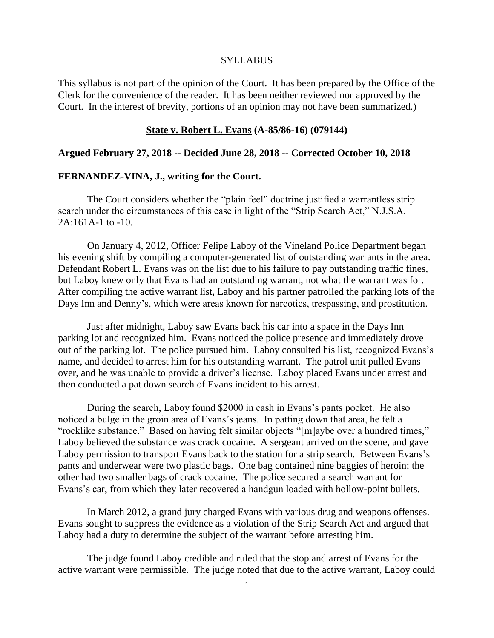## **SYLLABUS**

This syllabus is not part of the opinion of the Court. It has been prepared by the Office of the Clerk for the convenience of the reader. It has been neither reviewed nor approved by the Court. In the interest of brevity, portions of an opinion may not have been summarized.)

## **State v. Robert L. Evans (A-85/86-16) (079144)**

## **Argued February 27, 2018 -- Decided June 28, 2018 -- Corrected October 10, 2018**

## **FERNANDEZ-VINA, J., writing for the Court.**

The Court considers whether the "plain feel" doctrine justified a warrantless strip search under the circumstances of this case in light of the "Strip Search Act," N.J.S.A. 2A:161A-1 to -10.

On January 4, 2012, Officer Felipe Laboy of the Vineland Police Department began his evening shift by compiling a computer-generated list of outstanding warrants in the area. Defendant Robert L. Evans was on the list due to his failure to pay outstanding traffic fines, but Laboy knew only that Evans had an outstanding warrant, not what the warrant was for. After compiling the active warrant list, Laboy and his partner patrolled the parking lots of the Days Inn and Denny's, which were areas known for narcotics, trespassing, and prostitution.

Just after midnight, Laboy saw Evans back his car into a space in the Days Inn parking lot and recognized him. Evans noticed the police presence and immediately drove out of the parking lot. The police pursued him. Laboy consulted his list, recognized Evans's name, and decided to arrest him for his outstanding warrant. The patrol unit pulled Evans over, and he was unable to provide a driver's license. Laboy placed Evans under arrest and then conducted a pat down search of Evans incident to his arrest.

During the search, Laboy found \$2000 in cash in Evans's pants pocket. He also noticed a bulge in the groin area of Evans's jeans. In patting down that area, he felt a "rocklike substance." Based on having felt similar objects "[m]aybe over a hundred times," Laboy believed the substance was crack cocaine. A sergeant arrived on the scene, and gave Laboy permission to transport Evans back to the station for a strip search. Between Evans's pants and underwear were two plastic bags. One bag contained nine baggies of heroin; the other had two smaller bags of crack cocaine. The police secured a search warrant for Evans's car, from which they later recovered a handgun loaded with hollow-point bullets.

In March 2012, a grand jury charged Evans with various drug and weapons offenses. Evans sought to suppress the evidence as a violation of the Strip Search Act and argued that Laboy had a duty to determine the subject of the warrant before arresting him.

The judge found Laboy credible and ruled that the stop and arrest of Evans for the active warrant were permissible. The judge noted that due to the active warrant, Laboy could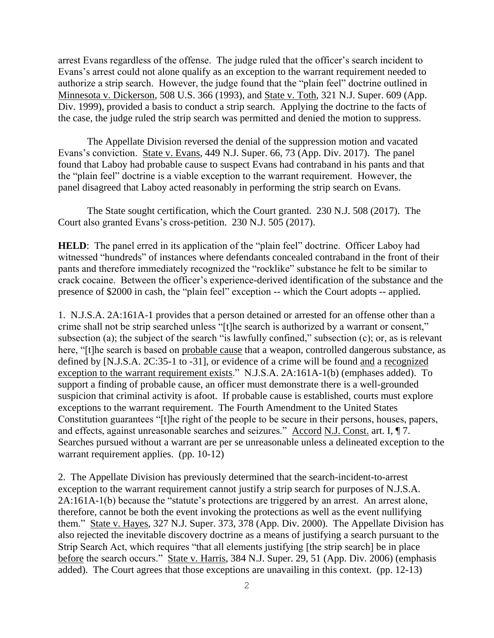arrest Evans regardless of the offense. The judge ruled that the officer's search incident to Evans's arrest could not alone qualify as an exception to the warrant requirement needed to authorize a strip search. However, the judge found that the "plain feel" doctrine outlined in Minnesota v. Dickerson, 508 U.S. 366 (1993), and State v. Toth, 321 N.J. Super. 609 (App. Div. 1999), provided a basis to conduct a strip search. Applying the doctrine to the facts of the case, the judge ruled the strip search was permitted and denied the motion to suppress.

The Appellate Division reversed the denial of the suppression motion and vacated Evans's conviction. State v. Evans, 449 N.J. Super. 66, 73 (App. Div. 2017). The panel found that Laboy had probable cause to suspect Evans had contraband in his pants and that the "plain feel" doctrine is a viable exception to the warrant requirement. However, the panel disagreed that Laboy acted reasonably in performing the strip search on Evans.

The State sought certification, which the Court granted. 230 N.J. 508 (2017). The Court also granted Evans's cross-petition. 230 N.J. 505 (2017).

**HELD**: The panel erred in its application of the "plain feel" doctrine. Officer Laboy had witnessed "hundreds" of instances where defendants concealed contraband in the front of their pants and therefore immediately recognized the "rocklike" substance he felt to be similar to crack cocaine. Between the officer's experience-derived identification of the substance and the presence of \$2000 in cash, the "plain feel" exception -- which the Court adopts -- applied.

1. N.J.S.A. 2A:161A-1 provides that a person detained or arrested for an offense other than a crime shall not be strip searched unless "[t]he search is authorized by a warrant or consent," subsection (a); the subject of the search "is lawfully confined," subsection (c); or, as is relevant here, "[t]he search is based on probable cause that a weapon, controlled dangerous substance, as defined by [N.J.S.A. 2C:35-1 to -31], or evidence of a crime will be found and a recognized exception to the warrant requirement exists." N.J.S.A. 2A:161A-1(b) (emphases added). To support a finding of probable cause, an officer must demonstrate there is a well-grounded suspicion that criminal activity is afoot. If probable cause is established, courts must explore exceptions to the warrant requirement. The Fourth Amendment to the United States Constitution guarantees "[t]he right of the people to be secure in their persons, houses, papers, and effects, against unreasonable searches and seizures." Accord N.J. Const. art. I, ¶ 7. Searches pursued without a warrant are per se unreasonable unless a delineated exception to the warrant requirement applies. (pp. 10-12)

2. The Appellate Division has previously determined that the search-incident-to-arrest exception to the warrant requirement cannot justify a strip search for purposes of N.J.S.A. 2A:161A-1(b) because the "statute's protections are triggered by an arrest. An arrest alone, therefore, cannot be both the event invoking the protections as well as the event nullifying them." State v. Hayes, 327 N.J. Super. 373, 378 (App. Div. 2000). The Appellate Division has also rejected the inevitable discovery doctrine as a means of justifying a search pursuant to the Strip Search Act, which requires "that all elements justifying [the strip search] be in place before the search occurs." State v. Harris, 384 N.J. Super. 29, 51 (App. Div. 2006) (emphasis added). The Court agrees that those exceptions are unavailing in this context. (pp. 12-13)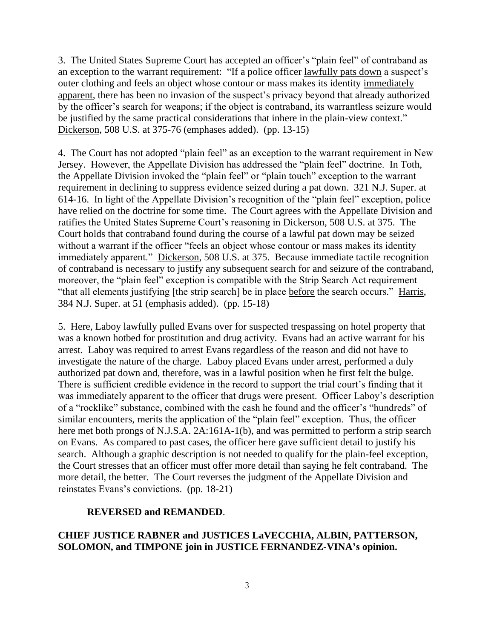3. The United States Supreme Court has accepted an officer's "plain feel" of contraband as an exception to the warrant requirement: "If a police officer lawfully pats down a suspect's outer clothing and feels an object whose contour or mass makes its identity immediately apparent, there has been no invasion of the suspect's privacy beyond that already authorized by the officer's search for weapons; if the object is contraband, its warrantless seizure would be justified by the same practical considerations that inhere in the plain-view context." Dickerson, 508 U.S. at 375-76 (emphases added). (pp. 13-15)

4. The Court has not adopted "plain feel" as an exception to the warrant requirement in New Jersey. However, the Appellate Division has addressed the "plain feel" doctrine. In Toth, the Appellate Division invoked the "plain feel" or "plain touch" exception to the warrant requirement in declining to suppress evidence seized during a pat down. 321 N.J. Super. at 614-16. In light of the Appellate Division's recognition of the "plain feel" exception, police have relied on the doctrine for some time. The Court agrees with the Appellate Division and ratifies the United States Supreme Court's reasoning in Dickerson, 508 U.S. at 375. The Court holds that contraband found during the course of a lawful pat down may be seized without a warrant if the officer "feels an object whose contour or mass makes its identity immediately apparent." Dickerson, 508 U.S. at 375. Because immediate tactile recognition of contraband is necessary to justify any subsequent search for and seizure of the contraband, moreover, the "plain feel" exception is compatible with the Strip Search Act requirement "that all elements justifying [the strip search] be in place before the search occurs." Harris, 384 N.J. Super. at 51 (emphasis added). (pp. 15-18)

5. Here, Laboy lawfully pulled Evans over for suspected trespassing on hotel property that was a known hotbed for prostitution and drug activity. Evans had an active warrant for his arrest. Laboy was required to arrest Evans regardless of the reason and did not have to investigate the nature of the charge. Laboy placed Evans under arrest, performed a duly authorized pat down and, therefore, was in a lawful position when he first felt the bulge. There is sufficient credible evidence in the record to support the trial court's finding that it was immediately apparent to the officer that drugs were present. Officer Laboy's description of a "rocklike" substance, combined with the cash he found and the officer's "hundreds" of similar encounters, merits the application of the "plain feel" exception. Thus, the officer here met both prongs of N.J.S.A. 2A:161A-1(b), and was permitted to perform a strip search on Evans. As compared to past cases, the officer here gave sufficient detail to justify his search. Although a graphic description is not needed to qualify for the plain-feel exception, the Court stresses that an officer must offer more detail than saying he felt contraband. The more detail, the better. The Court reverses the judgment of the Appellate Division and reinstates Evans's convictions. (pp. 18-21)

# **REVERSED and REMANDED**.

# **CHIEF JUSTICE RABNER and JUSTICES LaVECCHIA, ALBIN, PATTERSON, SOLOMON, and TIMPONE join in JUSTICE FERNANDEZ-VINA's opinion.**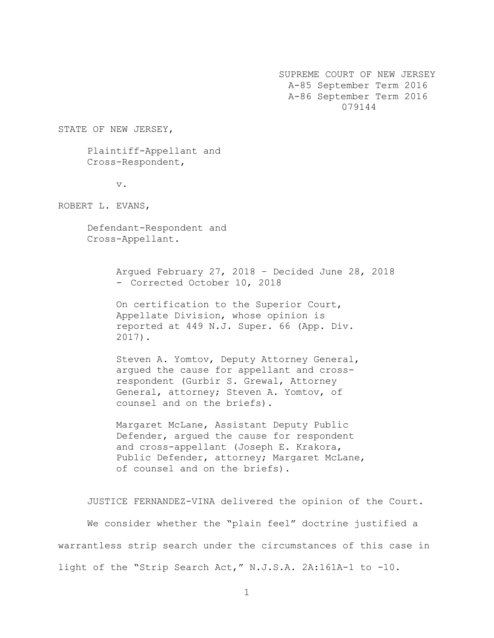SUPREME COURT OF NEW JERSEY A-85 September Term 2016 A-86 September Term 2016 079144

STATE OF NEW JERSEY,

Plaintiff-Appellant and Cross-Respondent,

v.

ROBERT L. EVANS,

Defendant-Respondent and Cross-Appellant.

> Argued February 27, 2018 – Decided June 28, 2018 - Corrected October 10, 2018

On certification to the Superior Court, Appellate Division, whose opinion is reported at 449 N.J. Super. 66 (App. Div. 2017).

Steven A. Yomtov, Deputy Attorney General, argued the cause for appellant and crossrespondent (Gurbir S. Grewal, Attorney General, attorney; Steven A. Yomtov, of counsel and on the briefs).

Margaret McLane, Assistant Deputy Public Defender, argued the cause for respondent and cross-appellant (Joseph E. Krakora, Public Defender, attorney; Margaret McLane, of counsel and on the briefs).

JUSTICE FERNANDEZ-VINA delivered the opinion of the Court. We consider whether the "plain feel" doctrine justified a warrantless strip search under the circumstances of this case in light of the "Strip Search Act," N.J.S.A. 2A:161A-1 to -10.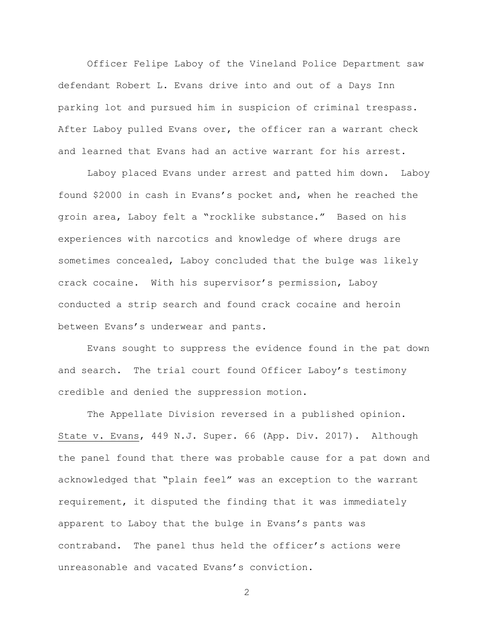Officer Felipe Laboy of the Vineland Police Department saw defendant Robert L. Evans drive into and out of a Days Inn parking lot and pursued him in suspicion of criminal trespass. After Laboy pulled Evans over, the officer ran a warrant check and learned that Evans had an active warrant for his arrest.

Laboy placed Evans under arrest and patted him down. Laboy found \$2000 in cash in Evans's pocket and, when he reached the groin area, Laboy felt a "rocklike substance." Based on his experiences with narcotics and knowledge of where drugs are sometimes concealed, Laboy concluded that the bulge was likely crack cocaine. With his supervisor's permission, Laboy conducted a strip search and found crack cocaine and heroin between Evans's underwear and pants.

Evans sought to suppress the evidence found in the pat down and search. The trial court found Officer Laboy's testimony credible and denied the suppression motion.

The Appellate Division reversed in a published opinion. State v. Evans, 449 N.J. Super. 66 (App. Div. 2017). Although the panel found that there was probable cause for a pat down and acknowledged that "plain feel" was an exception to the warrant requirement, it disputed the finding that it was immediately apparent to Laboy that the bulge in Evans's pants was contraband. The panel thus held the officer's actions were unreasonable and vacated Evans's conviction.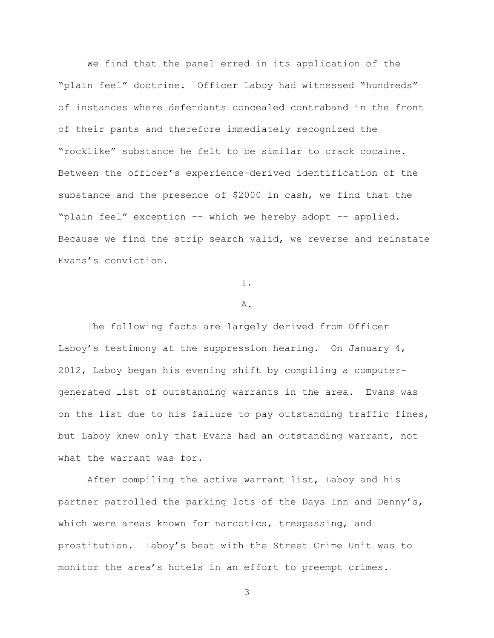We find that the panel erred in its application of the "plain feel" doctrine. Officer Laboy had witnessed "hundreds" of instances where defendants concealed contraband in the front of their pants and therefore immediately recognized the "rocklike" substance he felt to be similar to crack cocaine. Between the officer's experience-derived identification of the substance and the presence of \$2000 in cash, we find that the "plain feel" exception -- which we hereby adopt -- applied. Because we find the strip search valid, we reverse and reinstate Evans's conviction.

I.

#### A.

The following facts are largely derived from Officer Laboy's testimony at the suppression hearing. On January  $4$ , 2012, Laboy began his evening shift by compiling a computergenerated list of outstanding warrants in the area. Evans was on the list due to his failure to pay outstanding traffic fines, but Laboy knew only that Evans had an outstanding warrant, not what the warrant was for.

After compiling the active warrant list, Laboy and his partner patrolled the parking lots of the Days Inn and Denny's, which were areas known for narcotics, trespassing, and prostitution. Laboy's beat with the Street Crime Unit was to monitor the area's hotels in an effort to preempt crimes.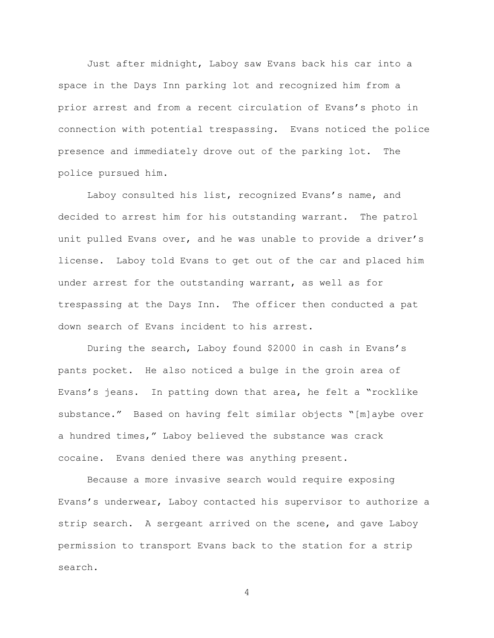Just after midnight, Laboy saw Evans back his car into a space in the Days Inn parking lot and recognized him from a prior arrest and from a recent circulation of Evans's photo in connection with potential trespassing. Evans noticed the police presence and immediately drove out of the parking lot. The police pursued him.

Laboy consulted his list, recognized Evans's name, and decided to arrest him for his outstanding warrant. The patrol unit pulled Evans over, and he was unable to provide a driver's license. Laboy told Evans to get out of the car and placed him under arrest for the outstanding warrant, as well as for trespassing at the Days Inn. The officer then conducted a pat down search of Evans incident to his arrest.

During the search, Laboy found \$2000 in cash in Evans's pants pocket. He also noticed a bulge in the groin area of Evans's jeans. In patting down that area, he felt a "rocklike substance." Based on having felt similar objects "[m]aybe over a hundred times," Laboy believed the substance was crack cocaine. Evans denied there was anything present.

Because a more invasive search would require exposing Evans's underwear, Laboy contacted his supervisor to authorize a strip search. A sergeant arrived on the scene, and gave Laboy permission to transport Evans back to the station for a strip search.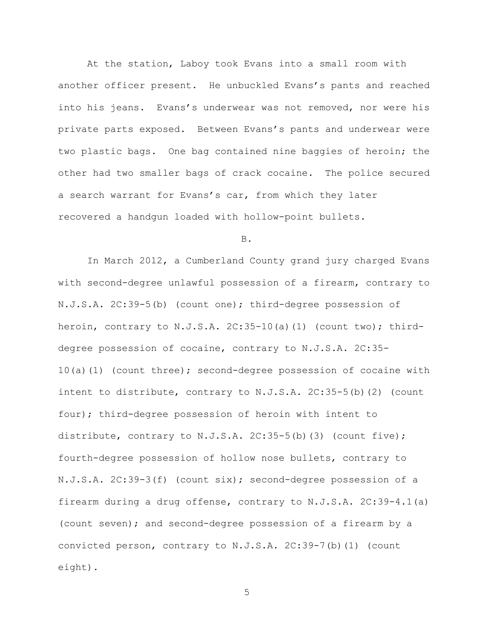At the station, Laboy took Evans into a small room with another officer present. He unbuckled Evans's pants and reached into his jeans. Evans's underwear was not removed, nor were his private parts exposed. Between Evans's pants and underwear were two plastic bags. One bag contained nine baggies of heroin; the other had two smaller bags of crack cocaine. The police secured a search warrant for Evans's car, from which they later recovered a handgun loaded with hollow-point bullets.

#### B.

In March 2012, a Cumberland County grand jury charged Evans with second-degree unlawful possession of a firearm, contrary to N.J.S.A. 2C:39-5(b) (count one); third-degree possession of heroin, contrary to N.J.S.A.  $2C:35-10(a)(1)$  (count two); thirddegree possession of cocaine, contrary to N.J.S.A. 2C:35- 10(a)(1) (count three); second-degree possession of cocaine with intent to distribute, contrary to N.J.S.A. 2C:35-5(b)(2) (count four); third-degree possession of heroin with intent to distribute, contrary to  $N.J.S.A. 2C:35-5(b)$  (3) (count five); fourth-degree possession of hollow nose bullets, contrary to N.J.S.A. 2C:39-3(f) (count six); second-degree possession of a firearm during a drug offense, contrary to N.J.S.A. 2C:39-4.1(a) (count seven); and second-degree possession of a firearm by a convicted person, contrary to N.J.S.A. 2C:39-7(b)(1) (count eight).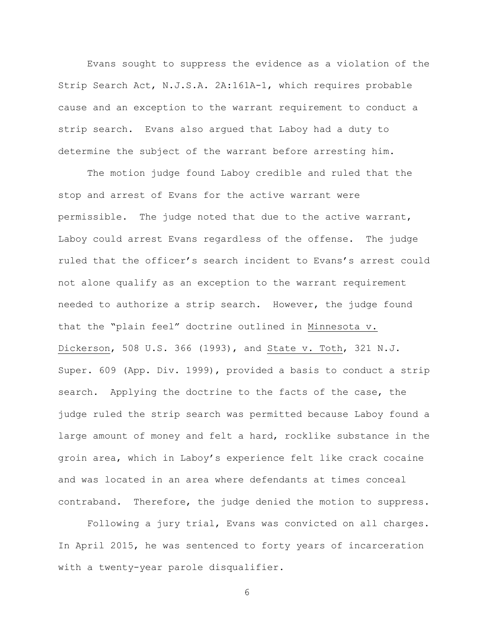Evans sought to suppress the evidence as a violation of the Strip Search Act, N.J.S.A. 2A:161A-1, which requires probable cause and an exception to the warrant requirement to conduct a strip search. Evans also argued that Laboy had a duty to determine the subject of the warrant before arresting him.

The motion judge found Laboy credible and ruled that the stop and arrest of Evans for the active warrant were permissible. The judge noted that due to the active warrant, Laboy could arrest Evans regardless of the offense. The judge ruled that the officer's search incident to Evans's arrest could not alone qualify as an exception to the warrant requirement needed to authorize a strip search. However, the judge found that the "plain feel" doctrine outlined in Minnesota v. Dickerson, 508 U.S. 366 (1993), and State v. Toth, 321 N.J. Super. 609 (App. Div. 1999), provided a basis to conduct a strip search. Applying the doctrine to the facts of the case, the judge ruled the strip search was permitted because Laboy found a large amount of money and felt a hard, rocklike substance in the groin area, which in Laboy's experience felt like crack cocaine and was located in an area where defendants at times conceal contraband. Therefore, the judge denied the motion to suppress.

Following a jury trial, Evans was convicted on all charges. In April 2015, he was sentenced to forty years of incarceration with a twenty-year parole disqualifier.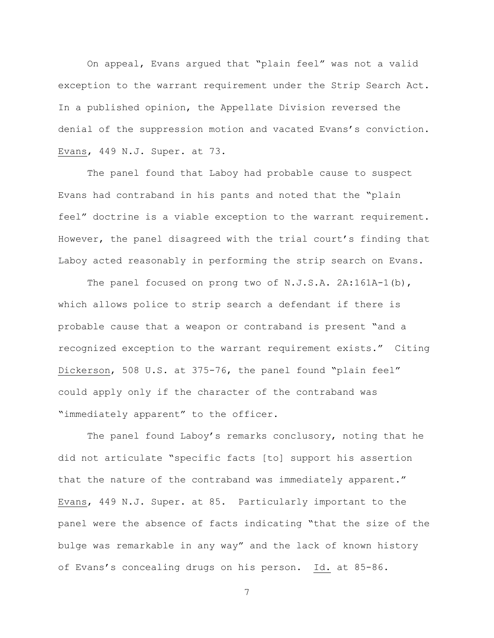On appeal, Evans argued that "plain feel" was not a valid exception to the warrant requirement under the Strip Search Act. In a published opinion, the Appellate Division reversed the denial of the suppression motion and vacated Evans's conviction. Evans, 449 N.J. Super. at 73.

The panel found that Laboy had probable cause to suspect Evans had contraband in his pants and noted that the "plain feel" doctrine is a viable exception to the warrant requirement. However, the panel disagreed with the trial court's finding that Laboy acted reasonably in performing the strip search on Evans.

The panel focused on prong two of N.J.S.A. 2A:161A-1(b), which allows police to strip search a defendant if there is probable cause that a weapon or contraband is present "and a recognized exception to the warrant requirement exists." Citing Dickerson, 508 U.S. at 375-76, the panel found "plain feel" could apply only if the character of the contraband was "immediately apparent" to the officer.

The panel found Laboy's remarks conclusory, noting that he did not articulate "specific facts [to] support his assertion that the nature of the contraband was immediately apparent." Evans, 449 N.J. Super. at 85. Particularly important to the panel were the absence of facts indicating "that the size of the bulge was remarkable in any way" and the lack of known history of Evans's concealing drugs on his person. Id. at 85-86.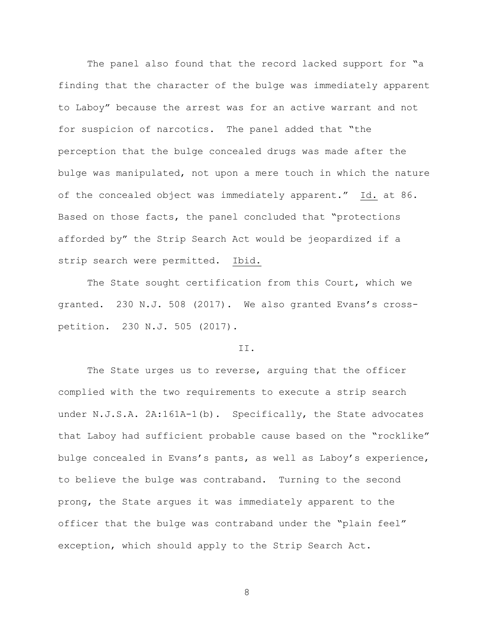The panel also found that the record lacked support for "a finding that the character of the bulge was immediately apparent to Laboy" because the arrest was for an active warrant and not for suspicion of narcotics. The panel added that "the perception that the bulge concealed drugs was made after the bulge was manipulated, not upon a mere touch in which the nature of the concealed object was immediately apparent." Id. at 86. Based on those facts, the panel concluded that "protections afforded by" the Strip Search Act would be jeopardized if a strip search were permitted. Ibid.

The State sought certification from this Court, which we granted. 230 N.J. 508 (2017). We also granted Evans's crosspetition. 230 N.J. 505 (2017).

### II.

The State urges us to reverse, arguing that the officer complied with the two requirements to execute a strip search under N.J.S.A. 2A:161A-1(b). Specifically, the State advocates that Laboy had sufficient probable cause based on the "rocklike" bulge concealed in Evans's pants, as well as Laboy's experience, to believe the bulge was contraband. Turning to the second prong, the State argues it was immediately apparent to the officer that the bulge was contraband under the "plain feel" exception, which should apply to the Strip Search Act.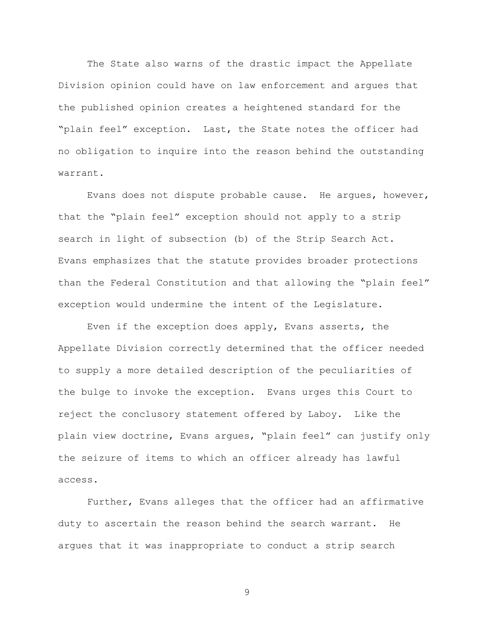The State also warns of the drastic impact the Appellate Division opinion could have on law enforcement and argues that the published opinion creates a heightened standard for the "plain feel" exception. Last, the State notes the officer had no obligation to inquire into the reason behind the outstanding warrant.

Evans does not dispute probable cause. He argues, however, that the "plain feel" exception should not apply to a strip search in light of subsection (b) of the Strip Search Act. Evans emphasizes that the statute provides broader protections than the Federal Constitution and that allowing the "plain feel" exception would undermine the intent of the Legislature.

Even if the exception does apply, Evans asserts, the Appellate Division correctly determined that the officer needed to supply a more detailed description of the peculiarities of the bulge to invoke the exception. Evans urges this Court to reject the conclusory statement offered by Laboy. Like the plain view doctrine, Evans argues, "plain feel" can justify only the seizure of items to which an officer already has lawful access.

Further, Evans alleges that the officer had an affirmative duty to ascertain the reason behind the search warrant. He argues that it was inappropriate to conduct a strip search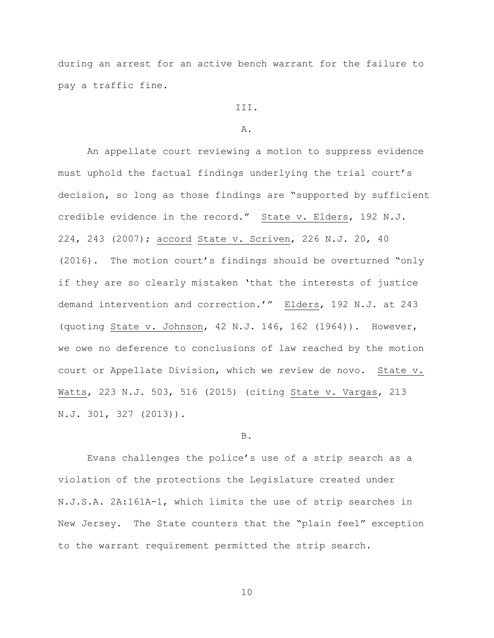during an arrest for an active bench warrant for the failure to pay a traffic fine.

# III.

### A.

An appellate court reviewing a motion to suppress evidence must uphold the factual findings underlying the trial court's decision, so long as those findings are "supported by sufficient credible evidence in the record." State v. Elders, 192 N.J. 224, 243 (2007); accord State v. Scriven, 226 N.J. 20, 40 (2016). The motion court's findings should be overturned "only if they are so clearly mistaken 'that the interests of justice demand intervention and correction.'" Elders, 192 N.J. at 243 (quoting State v. Johnson, 42 N.J. 146, 162 (1964)). However, we owe no deference to conclusions of law reached by the motion court or Appellate Division, which we review de novo. State v. Watts, 223 N.J. 503, 516 (2015) (citing State v. Vargas, 213 N.J. 301, 327 (2013)).

#### B.

Evans challenges the police's use of a strip search as a violation of the protections the Legislature created under N.J.S.A. 2A:161A-1, which limits the use of strip searches in New Jersey. The State counters that the "plain feel" exception to the warrant requirement permitted the strip search.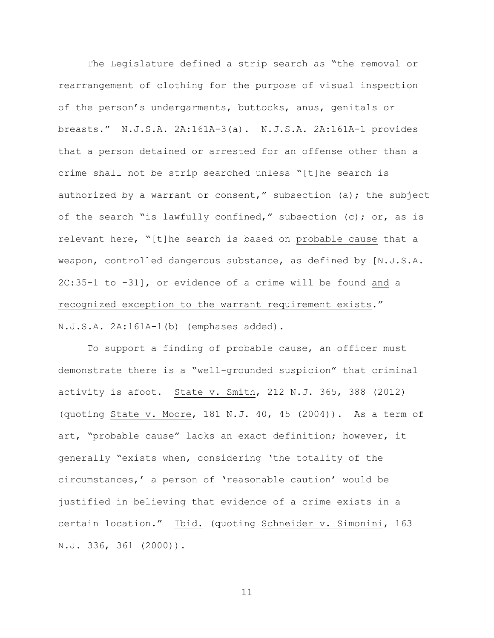The Legislature defined a strip search as "the removal or rearrangement of clothing for the purpose of visual inspection of the person's undergarments, buttocks, anus, genitals or breasts." N.J.S.A. 2A:161A-3(a). N.J.S.A. 2A:161A-1 provides that a person detained or arrested for an offense other than a crime shall not be strip searched unless "[t]he search is authorized by a warrant or consent," subsection (a); the subject of the search "is lawfully confined," subsection (c); or, as is relevant here, "[t]he search is based on probable cause that a weapon, controlled dangerous substance, as defined by [N.J.S.A. 2C:35-1 to -31], or evidence of a crime will be found and a recognized exception to the warrant requirement exists." N.J.S.A. 2A:161A-1(b) (emphases added).

To support a finding of probable cause, an officer must demonstrate there is a "well-grounded suspicion" that criminal activity is afoot. State v. Smith, 212 N.J. 365, 388 (2012) (quoting State v. Moore, 181 N.J. 40, 45 (2004)). As a term of art, "probable cause" lacks an exact definition; however, it generally "exists when, considering 'the totality of the circumstances,' a person of 'reasonable caution' would be justified in believing that evidence of a crime exists in a certain location." Ibid. (quoting Schneider v. Simonini, 163 N.J. 336, 361 (2000)).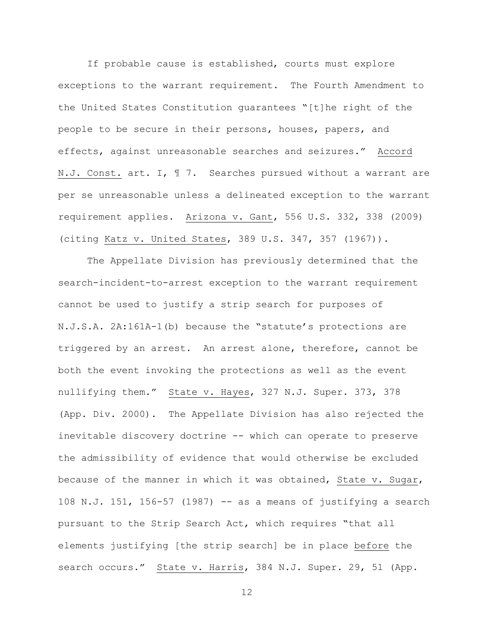If probable cause is established, courts must explore exceptions to the warrant requirement. The Fourth Amendment to the United States Constitution guarantees "[t]he right of the people to be secure in their persons, houses, papers, and effects, against unreasonable searches and seizures." Accord N.J. Const. art. I, ¶ 7. Searches pursued without a warrant are per se unreasonable unless a delineated exception to the warrant requirement applies. Arizona v. Gant, 556 U.S. 332, 338 (2009) (citing Katz v. United States, 389 U.S. 347, 357 (1967)).

The Appellate Division has previously determined that the search-incident-to-arrest exception to the warrant requirement cannot be used to justify a strip search for purposes of N.J.S.A. 2A:161A-1(b) because the "statute's protections are triggered by an arrest. An arrest alone, therefore, cannot be both the event invoking the protections as well as the event nullifying them." State v. Hayes, 327 N.J. Super. 373, 378 (App. Div. 2000). The Appellate Division has also rejected the inevitable discovery doctrine -- which can operate to preserve the admissibility of evidence that would otherwise be excluded because of the manner in which it was obtained, State v. Sugar, 108 N.J. 151, 156-57 (1987) -- as a means of justifying a search pursuant to the Strip Search Act, which requires "that all elements justifying [the strip search] be in place before the search occurs." State v. Harris, 384 N.J. Super. 29, 51 (App.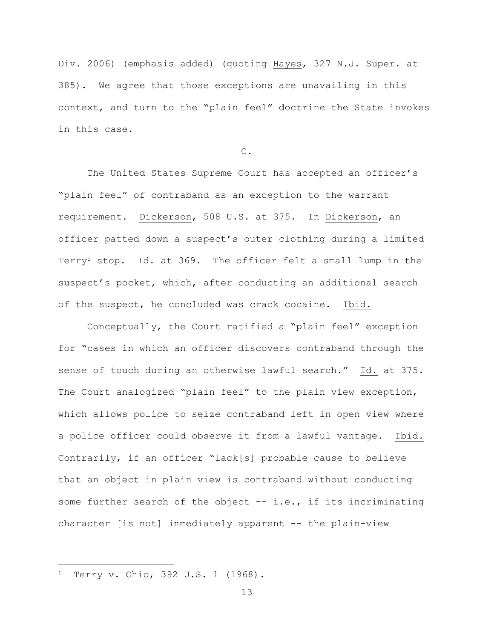Div. 2006) (emphasis added) (quoting Hayes, 327 N.J. Super. at 385). We agree that those exceptions are unavailing in this context, and turn to the "plain feel" doctrine the State invokes in this case.

C.

The United States Supreme Court has accepted an officer's "plain feel" of contraband as an exception to the warrant requirement. Dickerson, 508 U.S. at 375. In Dickerson, an officer patted down a suspect's outer clothing during a limited Terry<sup>1</sup> stop. Id. at 369. The officer felt a small lump in the suspect's pocket, which, after conducting an additional search of the suspect, he concluded was crack cocaine. Ibid.

Conceptually, the Court ratified a "plain feel" exception for "cases in which an officer discovers contraband through the sense of touch during an otherwise lawful search." Id. at 375. The Court analogized "plain feel" to the plain view exception, which allows police to seize contraband left in open view where a police officer could observe it from a lawful vantage. Ibid. Contrarily, if an officer "lack[s] probable cause to believe that an object in plain view is contraband without conducting some further search of the object -- i.e., if its incriminating character [is not] immediately apparent -- the plain-view

i<br>L

Terry v. Ohio, 392 U.S. 1 (1968).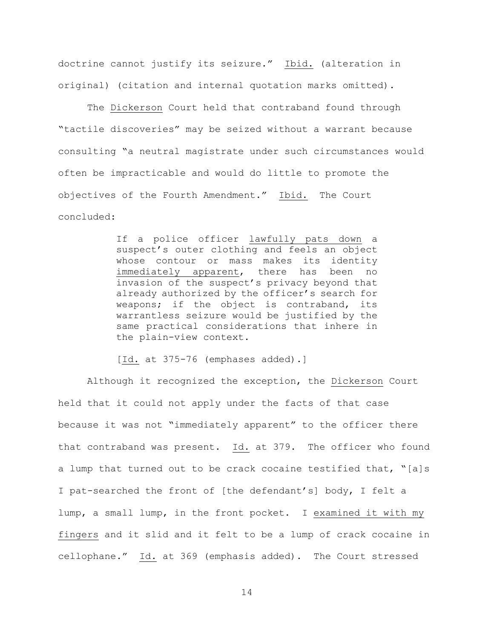doctrine cannot justify its seizure." Ibid. (alteration in original) (citation and internal quotation marks omitted).

The Dickerson Court held that contraband found through "tactile discoveries" may be seized without a warrant because consulting "a neutral magistrate under such circumstances would often be impracticable and would do little to promote the objectives of the Fourth Amendment." Ibid. The Court concluded:

> If a police officer lawfully pats down a suspect's outer clothing and feels an object whose contour or mass makes its identity immediately apparent, there has been no invasion of the suspect's privacy beyond that already authorized by the officer's search for weapons; if the object is contraband, its warrantless seizure would be justified by the same practical considerations that inhere in the plain-view context.

[Id. at 375-76 (emphases added).]

Although it recognized the exception, the Dickerson Court held that it could not apply under the facts of that case because it was not "immediately apparent" to the officer there that contraband was present. Id. at 379. The officer who found a lump that turned out to be crack cocaine testified that, "[a]s I pat-searched the front of [the defendant's] body, I felt a lump, a small lump, in the front pocket. I examined it with my fingers and it slid and it felt to be a lump of crack cocaine in cellophane." Id. at 369 (emphasis added). The Court stressed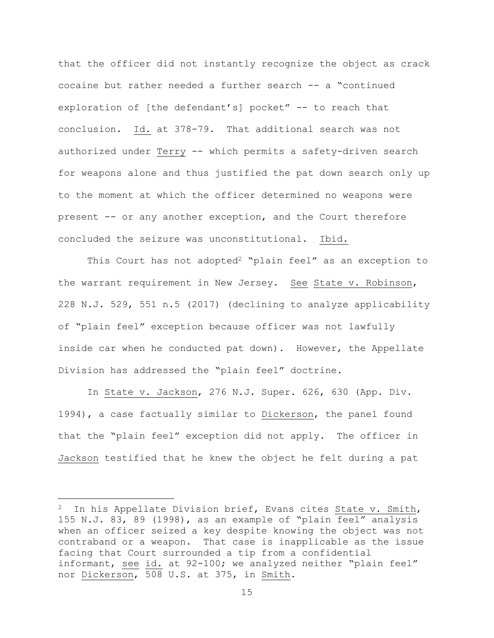that the officer did not instantly recognize the object as crack cocaine but rather needed a further search -- a "continued exploration of [the defendant's] pocket" -- to reach that conclusion. Id. at 378-79. That additional search was not authorized under Terry -- which permits a safety-driven search for weapons alone and thus justified the pat down search only up to the moment at which the officer determined no weapons were present -- or any another exception, and the Court therefore concluded the seizure was unconstitutional. Ibid.

This Court has not adopted<sup>2</sup> "plain feel" as an exception to the warrant requirement in New Jersey. See State v. Robinson, 228 N.J. 529, 551 n.5 (2017) (declining to analyze applicability of "plain feel" exception because officer was not lawfully inside car when he conducted pat down). However, the Appellate Division has addressed the "plain feel" doctrine.

In State v. Jackson, 276 N.J. Super. 626, 630 (App. Div. 1994), a case factually similar to Dickerson, the panel found that the "plain feel" exception did not apply. The officer in Jackson testified that he knew the object he felt during a pat

i<br>L

In his Appellate Division brief, Evans cites State v. Smith, 155 N.J. 83, 89 (1998), as an example of "plain feel" analysis when an officer seized a key despite knowing the object was not contraband or a weapon. That case is inapplicable as the issue facing that Court surrounded a tip from a confidential informant, see id. at 92-100; we analyzed neither "plain feel" nor Dickerson, 508 U.S. at 375, in Smith.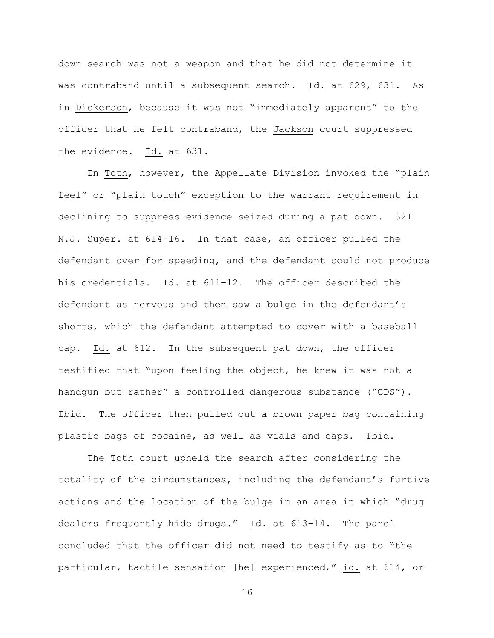down search was not a weapon and that he did not determine it was contraband until a subsequent search. Id. at 629, 631. As in Dickerson, because it was not "immediately apparent" to the officer that he felt contraband, the Jackson court suppressed the evidence. Id. at 631.

In Toth, however, the Appellate Division invoked the "plain feel" or "plain touch" exception to the warrant requirement in declining to suppress evidence seized during a pat down. 321 N.J. Super. at 614-16. In that case, an officer pulled the defendant over for speeding, and the defendant could not produce his credentials. Id. at 611-12. The officer described the defendant as nervous and then saw a bulge in the defendant's shorts, which the defendant attempted to cover with a baseball cap. Id. at 612. In the subsequent pat down, the officer testified that "upon feeling the object, he knew it was not a handgun but rather" a controlled dangerous substance ("CDS"). Ibid. The officer then pulled out a brown paper bag containing plastic bags of cocaine, as well as vials and caps. Ibid.

The Toth court upheld the search after considering the totality of the circumstances, including the defendant's furtive actions and the location of the bulge in an area in which "drug dealers frequently hide drugs." Id. at 613-14. The panel concluded that the officer did not need to testify as to "the particular, tactile sensation [he] experienced," id. at 614, or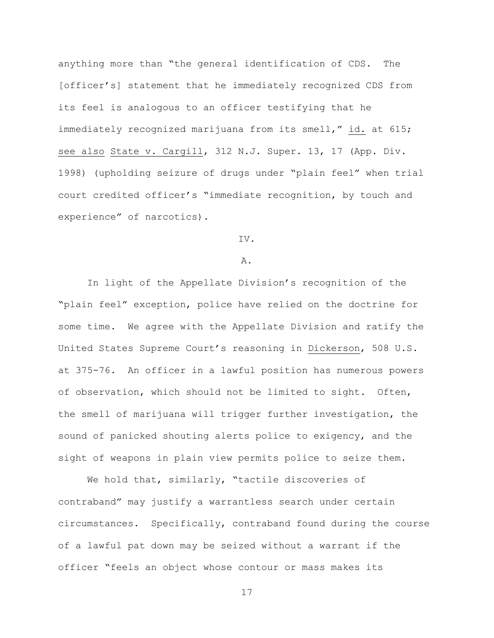anything more than "the general identification of CDS. The [officer's] statement that he immediately recognized CDS from its feel is analogous to an officer testifying that he immediately recognized marijuana from its smell," id. at 615; see also State v. Cargill, 312 N.J. Super. 13, 17 (App. Div. 1998) (upholding seizure of drugs under "plain feel" when trial court credited officer's "immediate recognition, by touch and experience" of narcotics).

### IV.

#### A.

In light of the Appellate Division's recognition of the "plain feel" exception, police have relied on the doctrine for some time. We agree with the Appellate Division and ratify the United States Supreme Court's reasoning in Dickerson, 508 U.S. at 375-76. An officer in a lawful position has numerous powers of observation, which should not be limited to sight. Often, the smell of marijuana will trigger further investigation, the sound of panicked shouting alerts police to exigency, and the sight of weapons in plain view permits police to seize them.

We hold that, similarly, "tactile discoveries of contraband" may justify a warrantless search under certain circumstances. Specifically, contraband found during the course of a lawful pat down may be seized without a warrant if the officer "feels an object whose contour or mass makes its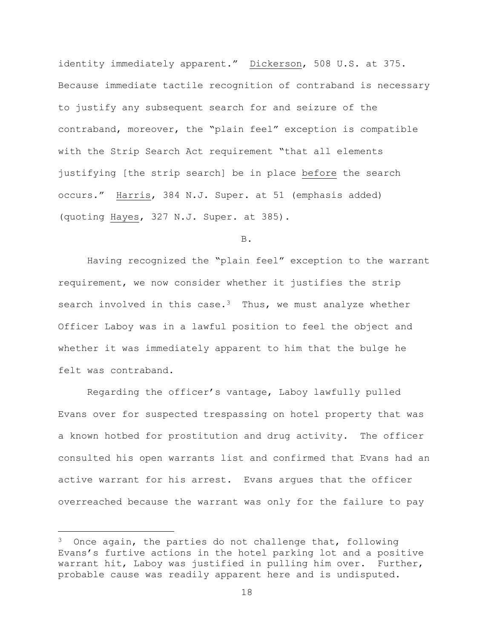identity immediately apparent." Dickerson, 508 U.S. at 375. Because immediate tactile recognition of contraband is necessary to justify any subsequent search for and seizure of the contraband, moreover, the "plain feel" exception is compatible with the Strip Search Act requirement "that all elements justifying [the strip search] be in place before the search occurs." Harris, 384 N.J. Super. at 51 (emphasis added) (quoting Hayes, 327 N.J. Super. at 385).

B.

Having recognized the "plain feel" exception to the warrant requirement, we now consider whether it justifies the strip search involved in this case.<sup>3</sup> Thus, we must analyze whether Officer Laboy was in a lawful position to feel the object and whether it was immediately apparent to him that the bulge he felt was contraband.

Regarding the officer's vantage, Laboy lawfully pulled Evans over for suspected trespassing on hotel property that was a known hotbed for prostitution and drug activity. The officer consulted his open warrants list and confirmed that Evans had an active warrant for his arrest. Evans argues that the officer overreached because the warrant was only for the failure to pay

i<br>L

 $3$  Once again, the parties do not challenge that, following Evans's furtive actions in the hotel parking lot and a positive warrant hit, Laboy was justified in pulling him over. Further, probable cause was readily apparent here and is undisputed.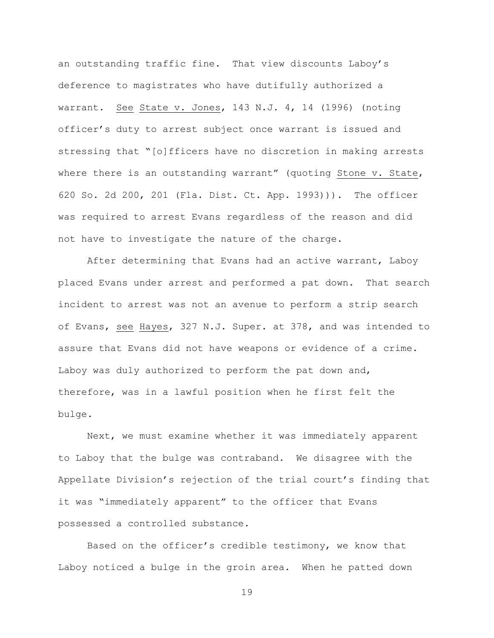an outstanding traffic fine. That view discounts Laboy's deference to magistrates who have dutifully authorized a warrant. See State v. Jones, 143 N.J. 4, 14 (1996) (noting officer's duty to arrest subject once warrant is issued and stressing that "[o]fficers have no discretion in making arrests where there is an outstanding warrant" (quoting Stone v. State, 620 So. 2d 200, 201 (Fla. Dist. Ct. App. 1993))). The officer was required to arrest Evans regardless of the reason and did not have to investigate the nature of the charge.

After determining that Evans had an active warrant, Laboy placed Evans under arrest and performed a pat down. That search incident to arrest was not an avenue to perform a strip search of Evans, see Hayes, 327 N.J. Super. at 378, and was intended to assure that Evans did not have weapons or evidence of a crime. Laboy was duly authorized to perform the pat down and, therefore, was in a lawful position when he first felt the bulge.

Next, we must examine whether it was immediately apparent to Laboy that the bulge was contraband. We disagree with the Appellate Division's rejection of the trial court's finding that it was "immediately apparent" to the officer that Evans possessed a controlled substance.

Based on the officer's credible testimony, we know that Laboy noticed a bulge in the groin area. When he patted down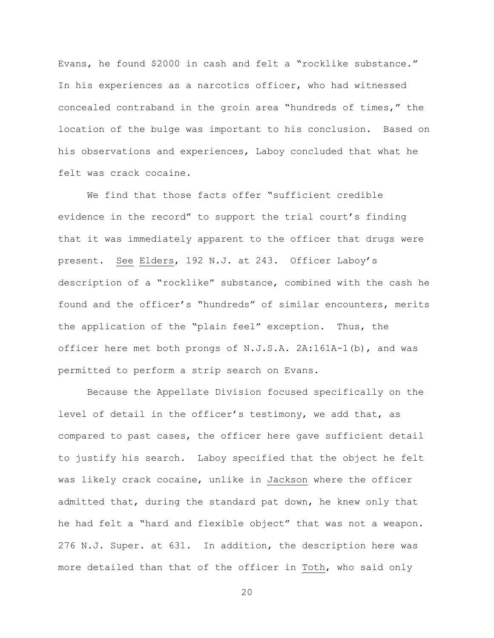Evans, he found \$2000 in cash and felt a "rocklike substance." In his experiences as a narcotics officer, who had witnessed concealed contraband in the groin area "hundreds of times," the location of the bulge was important to his conclusion. Based on his observations and experiences, Laboy concluded that what he felt was crack cocaine.

We find that those facts offer "sufficient credible evidence in the record" to support the trial court's finding that it was immediately apparent to the officer that drugs were present. See Elders, 192 N.J. at 243. Officer Laboy's description of a "rocklike" substance, combined with the cash he found and the officer's "hundreds" of similar encounters, merits the application of the "plain feel" exception. Thus, the officer here met both prongs of N.J.S.A. 2A:161A-1(b), and was permitted to perform a strip search on Evans.

Because the Appellate Division focused specifically on the level of detail in the officer's testimony, we add that, as compared to past cases, the officer here gave sufficient detail to justify his search. Laboy specified that the object he felt was likely crack cocaine, unlike in Jackson where the officer admitted that, during the standard pat down, he knew only that he had felt a "hard and flexible object" that was not a weapon. 276 N.J. Super. at 631. In addition, the description here was more detailed than that of the officer in Toth, who said only